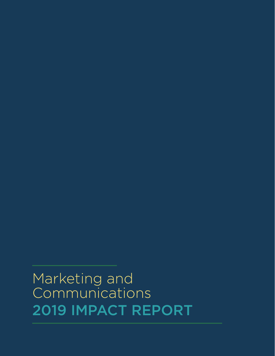# 2019 IMPACT REPORT Marketing and Communications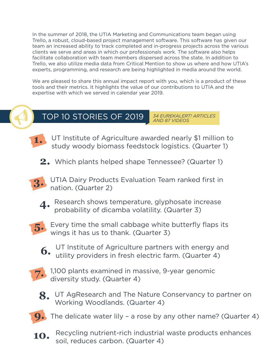In the summer of 2018, the UTIA Marketing and Communications team began using Trello, a robust, cloud-based project management software. This software has given our team an increased ability to track completed and in-progress projects across the various clients we serve and areas in which our professionals work. The software also helps facilitate collaboration with team members dispersed across the state. In addition to Trello, we also utilize media data from Critical Mention to show us where and how UTIA's experts, programming, and research are being highlighted in media around the world.

We are pleased to share this annual impact report with you, which is a product of these tools and their metrics. It highlights the value of our contributions to UTIA and the expertise with which we served in calendar year 2019.



### TOP 10 STORIES OF 2019

*34 EUREKALERT! ARTICLES AND 87 VIDEOS*



UT Institute of Agriculture awarded nearly \$1 million to study woody biomass feedstock logistics. (Quarter 1)

**2.** Which plants helped shape Tennessee? (Quarter 1)



**4.** Research shows temperature, glyphosate increase probability of dicamba volatility. (Quarter 3)



Every time the small cabbage white butterfly flaps its wings it has us to thank. (Quarter 3)



UT Institute of Agriculture partners with energy and utility providers in fresh electric farm. (Quarter 4)



7. 1,100 plants examined in massive, 9-year genomic diversity study. (Quarter 4)



8. UT AgResearch and The Nature Conservancy to partner on Working Woodlands. (Quarter 4)



**10.** Recycling nutrient-rich industrial waste products enhances soil, reduces carbon. (Quarter 4)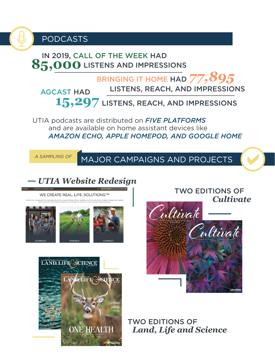